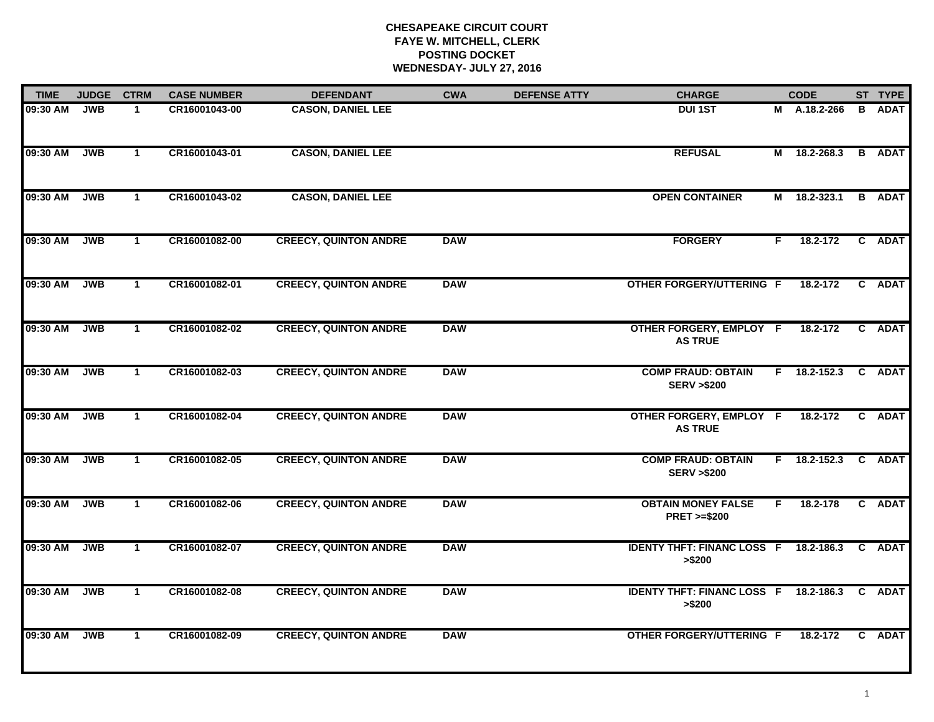# **CHESAPEAKE CIRCUIT COURT FAYE W. MITCHELL, CLERK POSTING DOCKET WEDNESDAY- JULY 27, 2016**

| <b>TIME</b> | <b>JUDGE</b> | <b>CTRM</b>    | <b>CASE NUMBER</b> | <b>DEFENDANT</b>             | <b>CWA</b> | <b>DEFENSE ATTY</b> | <b>CHARGE</b>                                           |    | <b>CODE</b>    |   | ST TYPE       |
|-------------|--------------|----------------|--------------------|------------------------------|------------|---------------------|---------------------------------------------------------|----|----------------|---|---------------|
| 09:30 AM    | <b>JWB</b>   | -1             | CR16001043-00      | <b>CASON, DANIEL LEE</b>     |            |                     | <b>DUI1ST</b>                                           | М  | A.18.2-266     | B | <b>ADAT</b>   |
| 09:30 AM    | <b>JWB</b>   | $\mathbf{1}$   | CR16001043-01      | <b>CASON, DANIEL LEE</b>     |            |                     | <b>REFUSAL</b>                                          |    | M 18.2-268.3   |   | <b>B</b> ADAT |
| 09:30 AM    | <b>JWB</b>   | $\mathbf{1}$   | CR16001043-02      | <b>CASON, DANIEL LEE</b>     |            |                     | <b>OPEN CONTAINER</b>                                   |    | M 18.2-323.1   |   | <b>B</b> ADAT |
| 09:30 AM    | <b>JWB</b>   | $\mathbf{1}$   | CR16001082-00      | <b>CREECY, QUINTON ANDRE</b> | <b>DAW</b> |                     | <b>FORGERY</b>                                          | F. | 18.2-172       |   | C ADAT        |
| 09:30 AM    | <b>JWB</b>   | $\mathbf{1}$   | CR16001082-01      | <b>CREECY, QUINTON ANDRE</b> | <b>DAW</b> |                     | <b>OTHER FORGERY/UTTERING F</b>                         |    | 18.2-172       |   | C ADAT        |
| 09:30 AM    | <b>JWB</b>   | $\mathbf{1}$   | CR16001082-02      | <b>CREECY, QUINTON ANDRE</b> | <b>DAW</b> |                     | OTHER FORGERY, EMPLOY F<br><b>AS TRUE</b>               |    | 18.2-172       |   | C ADAT        |
| 09:30 AM    | <b>JWB</b>   | $\overline{1}$ | CR16001082-03      | <b>CREECY, QUINTON ANDRE</b> | <b>DAW</b> |                     | <b>COMP FRAUD: OBTAIN</b><br><b>SERV &gt;\$200</b>      |    | $F$ 18.2-152.3 |   | C ADAT        |
| 09:30 AM    | <b>JWB</b>   | $\mathbf{1}$   | CR16001082-04      | <b>CREECY, QUINTON ANDRE</b> | <b>DAW</b> |                     | OTHER FORGERY, EMPLOY F<br><b>AS TRUE</b>               |    | 18.2-172       |   | C ADAT        |
| 09:30 AM    | <b>JWB</b>   | $\mathbf 1$    | CR16001082-05      | <b>CREECY, QUINTON ANDRE</b> | <b>DAW</b> |                     | <b>COMP FRAUD: OBTAIN</b><br><b>SERV &gt;\$200</b>      | F. | 18.2-152.3     |   | C ADAT        |
| 09:30 AM    | <b>JWB</b>   | $\mathbf{1}$   | CR16001082-06      | <b>CREECY, QUINTON ANDRE</b> | <b>DAW</b> |                     | <b>OBTAIN MONEY FALSE</b><br><b>PRET &gt;=\$200</b>     | F. | 18.2-178       |   | C ADAT        |
| 09:30 AM    | <b>JWB</b>   | $\mathbf{1}$   | CR16001082-07      | <b>CREECY, QUINTON ANDRE</b> | <b>DAW</b> |                     | IDENTY THFT: FINANC LOSS F 18.2-186.3 C ADAT<br>> \$200 |    |                |   |               |
| 09:30 AM    | <b>JWB</b>   | $\mathbf{1}$   | CR16001082-08      | <b>CREECY, QUINTON ANDRE</b> | <b>DAW</b> |                     | <b>IDENTY THFT: FINANC LOSS F 18.2-186.3</b><br>> \$200 |    |                |   | C ADAT        |
| 09:30 AM    | <b>JWB</b>   | $\mathbf{1}$   | CR16001082-09      | <b>CREECY, QUINTON ANDRE</b> | <b>DAW</b> |                     | OTHER FORGERY/UTTERING F                                |    | 18.2-172       |   | C ADAT        |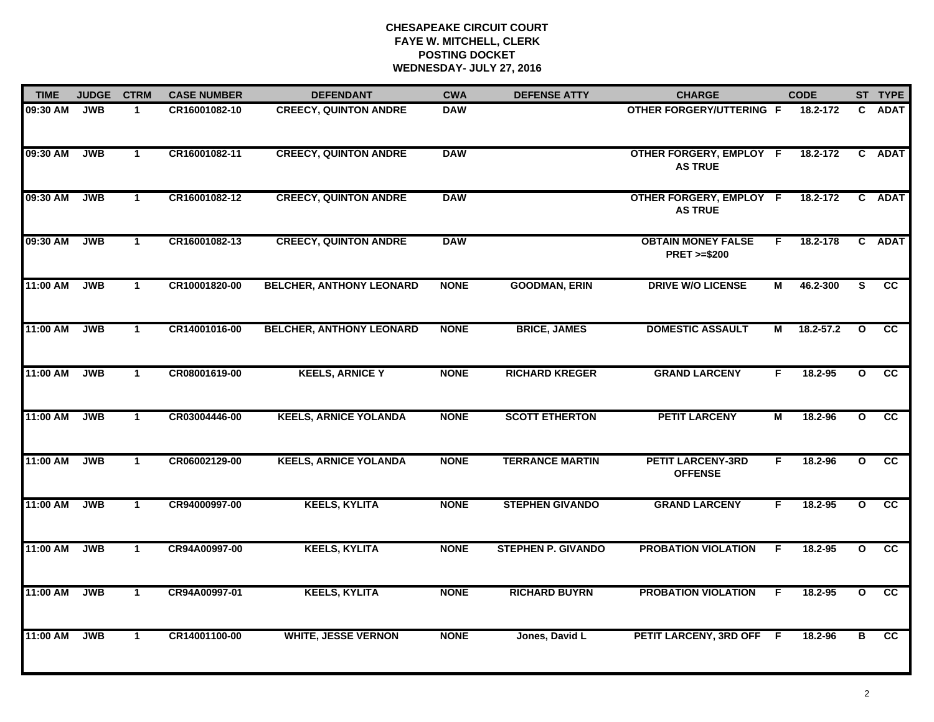# **CHESAPEAKE CIRCUIT COURT FAYE W. MITCHELL, CLERK POSTING DOCKET WEDNESDAY- JULY 27, 2016**

| <b>TIME</b> | <b>JUDGE</b> | <b>CTRM</b>  | <b>CASE NUMBER</b> | <b>DEFENDANT</b>                | <b>CWA</b>  | <b>DEFENSE ATTY</b>       | <b>CHARGE</b>                                       |    | <b>CODE</b>   |                         | ST TYPE                |
|-------------|--------------|--------------|--------------------|---------------------------------|-------------|---------------------------|-----------------------------------------------------|----|---------------|-------------------------|------------------------|
| 09:30 AM    | <b>JWB</b>   | $\mathbf 1$  | CR16001082-10      | <b>CREECY, QUINTON ANDRE</b>    | <b>DAW</b>  |                           | <b>OTHER FORGERY/UTTERING F</b>                     |    | 18.2-172      | C.                      | <b>ADAT</b>            |
| 09:30 AM    | <b>JWB</b>   | $\mathbf{1}$ | CR16001082-11      | <b>CREECY, QUINTON ANDRE</b>    | <b>DAW</b>  |                           | OTHER FORGERY, EMPLOY F<br><b>AS TRUE</b>           |    | 18.2-172      | $\mathbf{c}$            | <b>ADAT</b>            |
| 09:30 AM    | <b>JWB</b>   | $\mathbf{1}$ | CR16001082-12      | <b>CREECY, QUINTON ANDRE</b>    | <b>DAW</b>  |                           | <b>OTHER FORGERY, EMPLOY F</b><br><b>AS TRUE</b>    |    | 18.2-172      |                         | C ADAT                 |
| 09:30 AM    | <b>JWB</b>   | $\mathbf 1$  | CR16001082-13      | <b>CREECY, QUINTON ANDRE</b>    | <b>DAW</b>  |                           | <b>OBTAIN MONEY FALSE</b><br><b>PRET &gt;=\$200</b> | F. | 18.2-178      |                         | C ADAT                 |
| 11:00 AM    | <b>JWB</b>   | $\mathbf{1}$ | CR10001820-00      | <b>BELCHER, ANTHONY LEONARD</b> | <b>NONE</b> | <b>GOODMAN, ERIN</b>      | <b>DRIVE W/O LICENSE</b>                            | М  | 46.2-300      | S                       | <b>CC</b>              |
| 11:00 AM    | <b>JWB</b>   | $\mathbf{1}$ | CR14001016-00      | <b>BELCHER, ANTHONY LEONARD</b> | <b>NONE</b> | <b>BRICE, JAMES</b>       | <b>DOMESTIC ASSAULT</b>                             | М  | $18.2 - 57.2$ | $\mathbf{o}$            | $\overline{\text{cc}}$ |
| 11:00 AM    | <b>JWB</b>   | $\mathbf{1}$ | CR08001619-00      | <b>KEELS, ARNICE Y</b>          | <b>NONE</b> | <b>RICHARD KREGER</b>     | <b>GRAND LARCENY</b>                                | F  | 18.2-95       | $\overline{\mathbf{o}}$ | cc                     |
| 11:00 AM    | <b>JWB</b>   | $\mathbf{1}$ | CR03004446-00      | <b>KEELS, ARNICE YOLANDA</b>    | <b>NONE</b> | <b>SCOTT ETHERTON</b>     | <b>PETIT LARCENY</b>                                | М  | 18.2-96       | $\mathbf{o}$            | $\overline{cc}$        |
| 11:00 AM    | <b>JWB</b>   | $\mathbf 1$  | CR06002129-00      | <b>KEELS, ARNICE YOLANDA</b>    | <b>NONE</b> | <b>TERRANCE MARTIN</b>    | <b>PETIT LARCENY-3RD</b><br><b>OFFENSE</b>          | F. | $18.2 - 96$   | $\mathbf{o}$            | <b>CC</b>              |
| 11:00 AM    | <b>JWB</b>   | $\mathbf{1}$ | CR94000997-00      | <b>KEELS, KYLITA</b>            | <b>NONE</b> | <b>STEPHEN GIVANDO</b>    | <b>GRAND LARCENY</b>                                | F. | $18.2 - 95$   | $\mathbf{o}$            | cc                     |
| 11:00 AM    | <b>JWB</b>   | $\mathbf{1}$ | CR94A00997-00      | <b>KEELS, KYLITA</b>            | <b>NONE</b> | <b>STEPHEN P. GIVANDO</b> | <b>PROBATION VIOLATION</b>                          | F. | 18.2-95       | $\mathbf{o}$            | cc                     |
| 11:00 AM    | <b>JWB</b>   | $\mathbf{1}$ | CR94A00997-01      | <b>KEELS, KYLITA</b>            | <b>NONE</b> | <b>RICHARD BUYRN</b>      | <b>PROBATION VIOLATION</b>                          | F. | 18.2-95       | $\mathbf{o}$            | cc                     |
| 11:00 AM    | <b>JWB</b>   | $\mathbf{1}$ | CR14001100-00      | <b>WHITE, JESSE VERNON</b>      | <b>NONE</b> | Jones, David L            | PETIT LARCENY, 3RD OFF F                            |    | 18.2-96       | в                       | cc                     |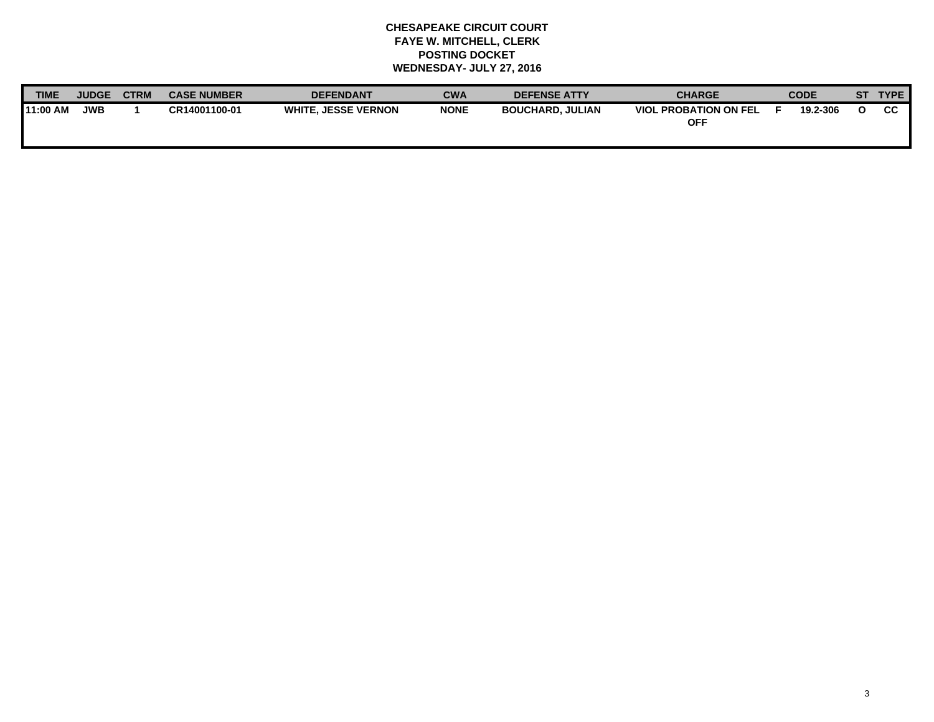# **CHESAPEAKE CIRCUIT COURT FAYE W. MITCHELL, CLERK POSTING DOCKET WEDNESDAY- JULY 27, 2016**

| <b>TIME</b>     | <b>JUDGE</b> | <b>CTRM</b> | <b>CASE NUMBER</b> | <b>DEFENDANT</b>           | CWA         | <b>DEFENSE ATTY</b>     | <b>CHARGE</b>                       | <b>CODE</b> | ST. | <b>TYPE</b> |
|-----------------|--------------|-------------|--------------------|----------------------------|-------------|-------------------------|-------------------------------------|-------------|-----|-------------|
| <b>11:00 AM</b> | <b>JWB</b>   |             | CR14001100-01      | <b>WHITE, JESSE VERNON</b> | <b>NONE</b> | <b>BOUCHARD, JULIAN</b> | <b>VIOL PROBATION ON FEL</b><br>OFF | 19.2-306    |     | CC          |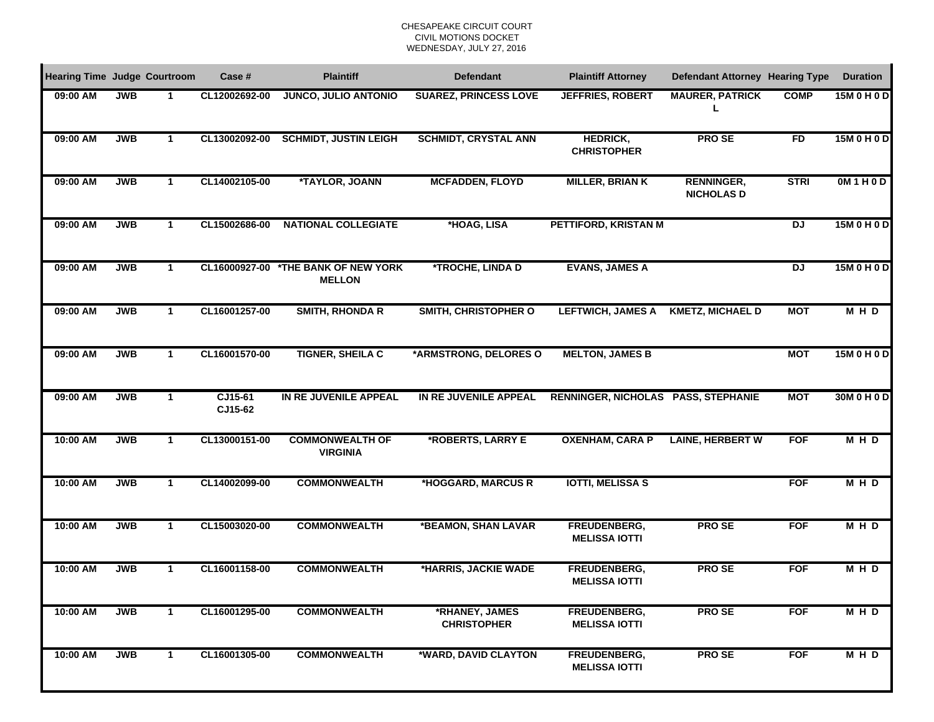### CHESAPEAKE CIRCUIT COURTCIVIL MOTIONS DOCKET WEDNESDAY, JULY 27, 2016

| <b>Hearing Time Judge Courtroom</b> |            |                | Case #             | <b>Plaintiff</b>                                     | <b>Defendant</b>                     | <b>Plaintiff Attorney</b>                   | <b>Defendant Attorney Hearing Type</b> |                | <b>Duration</b> |
|-------------------------------------|------------|----------------|--------------------|------------------------------------------------------|--------------------------------------|---------------------------------------------|----------------------------------------|----------------|-----------------|
| 09:00 AM                            | <b>JWB</b> | 1              | CL12002692-00      | <b>JUNCO, JULIO ANTONIO</b>                          | <b>SUAREZ, PRINCESS LOVE</b>         | <b>JEFFRIES, ROBERT</b>                     | <b>MAURER, PATRICK</b><br>L            | <b>COMP</b>    | 15M 0 H 0 D     |
| 09:00 AM                            | <b>JWB</b> | 1              | CL13002092-00      | <b>SCHMIDT, JUSTIN LEIGH</b>                         | <b>SCHMIDT, CRYSTAL ANN</b>          | <b>HEDRICK,</b><br><b>CHRISTOPHER</b>       | <b>PROSE</b>                           | FD             | 15M 0 H 0 D     |
| 09:00 AM                            | <b>JWB</b> | 1              | CL14002105-00      | *TAYLOR, JOANN                                       | <b>MCFADDEN, FLOYD</b>               | <b>MILLER, BRIAN K</b>                      | <b>RENNINGER,</b><br><b>NICHOLAS D</b> | <b>STRI</b>    | OM1H0D          |
| 09:00 AM                            | <b>JWB</b> | 1              | CL15002686-00      | <b>NATIONAL COLLEGIATE</b>                           | *HOAG, LISA                          | PETTIFORD, KRISTAN M                        |                                        | DJ             | 15M 0 H 0 D     |
| 09:00 AM                            | <b>JWB</b> | $\mathbf{1}$   |                    | CL16000927-00 *THE BANK OF NEW YORK<br><b>MELLON</b> | *TROCHE, LINDA D                     | <b>EVANS, JAMES A</b>                       |                                        | $\overline{D}$ | 15M 0 H 0 D     |
| 09:00 AM                            | <b>JWB</b> | $\mathbf{1}$   | CL16001257-00      | <b>SMITH, RHONDA R</b>                               | <b>SMITH, CHRISTOPHER O</b>          | <b>LEFTWICH, JAMES A</b>                    | <b>KMETZ, MICHAEL D</b>                | <b>MOT</b>     | <b>MHD</b>      |
| 09:00 AM                            | <b>JWB</b> | $\mathbf{1}$   | CL16001570-00      | <b>TIGNER, SHEILA C</b>                              | *ARMSTRONG, DELORES O                | <b>MELTON, JAMES B</b>                      |                                        | <b>MOT</b>     | 15M 0 H 0 D     |
| 09:00 AM                            | <b>JWB</b> | $\mathbf{1}$   | CJ15-61<br>CJ15-62 | IN RE JUVENILE APPEAL                                | IN RE JUVENILE APPEAL                | RENNINGER, NICHOLAS PASS, STEPHANIE         |                                        | <b>MOT</b>     | 30M 0 H 0 D     |
| 10:00 AM                            | <b>JWB</b> | $\mathbf{1}$   | CL13000151-00      | <b>COMMONWEALTH OF</b><br><b>VIRGINIA</b>            | *ROBERTS, LARRY E                    | <b>OXENHAM, CARA P</b>                      | <b>LAINE, HERBERT W</b>                | <b>FOF</b>     | <b>MHD</b>      |
| 10:00 AM                            | <b>JWB</b> | $\overline{1}$ | CL14002099-00      | <b>COMMONWEALTH</b>                                  | *HOGGARD, MARCUS R                   | <b>IOTTI, MELISSA S</b>                     |                                        | <b>FOF</b>     | <b>MHD</b>      |
| 10:00 AM                            | <b>JWB</b> | $\overline{1}$ | CL15003020-00      | <b>COMMONWEALTH</b>                                  | *BEAMON, SHAN LAVAR                  | <b>FREUDENBERG,</b><br><b>MELISSA IOTTI</b> | <b>PROSE</b>                           | <b>FOF</b>     | M H D           |
| 10:00 AM                            | <b>JWB</b> | $\mathbf 1$    | CL16001158-00      | <b>COMMONWEALTH</b>                                  | *HARRIS, JACKIE WADE                 | FREUDENBERG,<br><b>MELISSA IOTTI</b>        | <b>PROSE</b>                           | <b>FOF</b>     | <b>MHD</b>      |
| 10:00 AM                            | <b>JWB</b> | -1             | CL16001295-00      | <b>COMMONWEALTH</b>                                  | *RHANEY, JAMES<br><b>CHRISTOPHER</b> | FREUDENBERG,<br><b>MELISSA IOTTI</b>        | <b>PROSE</b>                           | <b>FOF</b>     | <b>MHD</b>      |
| 10:00 AM                            | <b>JWB</b> | -1             | CL16001305-00      | <b>COMMONWEALTH</b>                                  | *WARD, DAVID CLAYTON                 | FREUDENBERG,<br><b>MELISSA IOTTI</b>        | <b>PROSE</b>                           | <b>FOF</b>     | <b>MHD</b>      |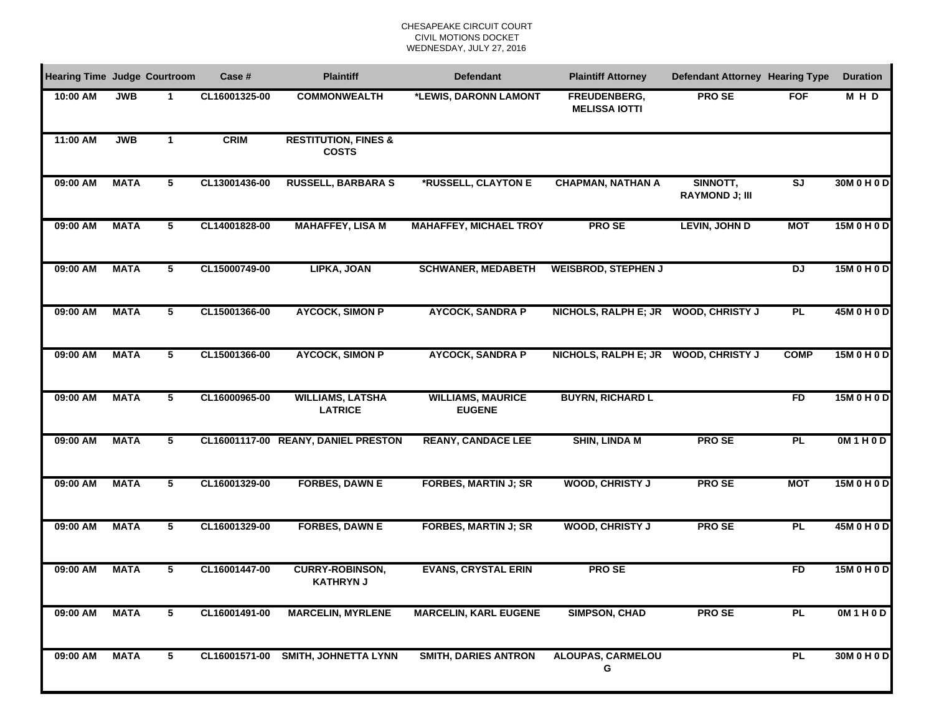#### CHESAPEAKE CIRCUIT COURTCIVIL MOTIONS DOCKET WEDNESDAY, JULY 27, 2016

| <b>Hearing Time Judge Courtroom</b> |             |             | Case #        | <b>Plaintiff</b>                                | <b>Defendant</b>                          | <b>Plaintiff Attorney</b>            | Defendant Attorney Hearing Type   |                         | <b>Duration</b> |
|-------------------------------------|-------------|-------------|---------------|-------------------------------------------------|-------------------------------------------|--------------------------------------|-----------------------------------|-------------------------|-----------------|
| 10:00 AM                            | <b>JWB</b>  | 1           | CL16001325-00 | <b>COMMONWEALTH</b>                             | *LEWIS, DARONN LAMONT                     | FREUDENBERG,<br><b>MELISSA IOTTI</b> | <b>PROSE</b>                      | <b>FOF</b>              | M H D           |
| 11:00 AM                            | <b>JWB</b>  | $\mathbf 1$ | <b>CRIM</b>   | <b>RESTITUTION, FINES &amp;</b><br><b>COSTS</b> |                                           |                                      |                                   |                         |                 |
| 09:00 AM                            | <b>MATA</b> | 5           | CL13001436-00 | <b>RUSSELL, BARBARA S</b>                       | *RUSSELL, CLAYTON E                       | <b>CHAPMAN, NATHAN A</b>             | SINNOTT,<br><b>RAYMOND J; III</b> | $\overline{\mathsf{S}}$ | 30M 0 H 0 D     |
| 09:00 AM                            | <b>MATA</b> | 5           | CL14001828-00 | <b>MAHAFFEY, LISA M</b>                         | <b>MAHAFFEY, MICHAEL TROY</b>             | <b>PROSE</b>                         | <b>LEVIN, JOHN D</b>              | <b>MOT</b>              | 15M 0 H 0 D     |
| 09:00 AM                            | <b>MATA</b> | 5           | CL15000749-00 | LIPKA, JOAN                                     | <b>SCHWANER, MEDABETH</b>                 | <b>WEISBROD, STEPHEN J</b>           |                                   | $\overline{D}$          | 15M 0 H 0 D     |
| 09:00 AM                            | <b>MATA</b> | 5           | CL15001366-00 | <b>AYCOCK, SIMON P</b>                          | <b>AYCOCK, SANDRA P</b>                   | NICHOLS, RALPH E; JR WOOD, CHRISTY J |                                   | <b>PL</b>               | 45M 0 H 0 D     |
| 09:00 AM                            | <b>MATA</b> | 5           | CL15001366-00 | <b>AYCOCK, SIMON P</b>                          | <b>AYCOCK, SANDRA P</b>                   | NICHOLS, RALPH E; JR WOOD, CHRISTY J |                                   | <b>COMP</b>             | 15M 0 H 0 D     |
| 09:00 AM                            | <b>MATA</b> | 5           | CL16000965-00 | <b>WILLIAMS, LATSHA</b><br><b>LATRICE</b>       | <b>WILLIAMS, MAURICE</b><br><b>EUGENE</b> | <b>BUYRN, RICHARD L</b>              |                                   | <b>FD</b>               | 15M 0 H 0 D     |
| 09:00 AM                            | <b>MATA</b> | 5           |               | CL16001117-00 REANY, DANIEL PRESTON             | <b>REANY, CANDACE LEE</b>                 | <b>SHIN, LINDA M</b>                 | <b>PROSE</b>                      | PL                      | OM1H0D          |
| 09:00 AM                            | <b>MATA</b> | 5           | CL16001329-00 | <b>FORBES, DAWN E</b>                           | <b>FORBES, MARTIN J; SR</b>               | <b>WOOD, CHRISTY J</b>               | <b>PROSE</b>                      | <b>MOT</b>              | 15M 0 H 0 D     |
| 09:00 AM                            | <b>MATA</b> | 5           | CL16001329-00 | <b>FORBES, DAWN E</b>                           | <b>FORBES, MARTIN J; SR</b>               | <b>WOOD, CHRISTY J</b>               | <b>PROSE</b>                      | <b>PL</b>               | 45M 0 H 0 D     |
| 09:00 AM                            | <b>MATA</b> | 5           | CL16001447-00 | <b>CURRY-ROBINSON,</b><br><b>KATHRYN J</b>      | <b>EVANS, CRYSTAL ERIN</b>                | <b>PROSE</b>                         |                                   | FD                      | 15M 0 H 0 D     |
| 09:00 AM                            | <b>MATA</b> | 5           | CL16001491-00 | <b>MARCELIN, MYRLENE</b>                        | <b>MARCELIN, KARL EUGENE</b>              | <b>SIMPSON, CHAD</b>                 | <b>PROSE</b>                      | <b>PL</b>               | OM1H0D          |
| 09:00 AM                            | <b>MATA</b> | 5           |               | CL16001571-00 SMITH, JOHNETTA LYNN              | <b>SMITH, DARIES ANTRON</b>               | <b>ALOUPAS, CARMELOU</b><br>G        |                                   | <b>PL</b>               | 30M 0 H 0 D     |